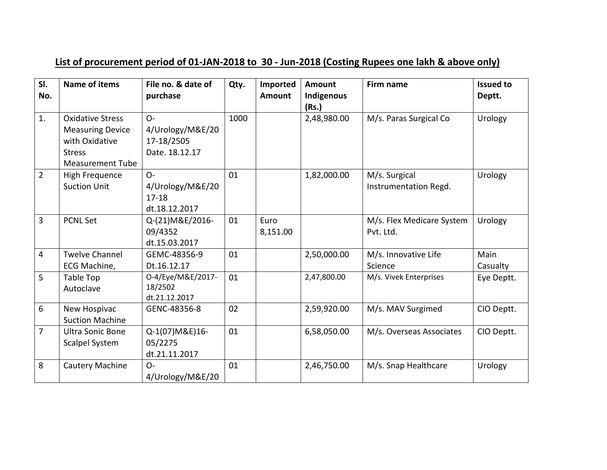## **List of procurement period of 01-JAN-2018 to 30 - Jun-2018 (Costing Rupees one lakh & above only)**

| SI.<br>No.     | <b>Name of items</b>                                                                                             | File no. & date of<br>purchase                            | Qty. | Imported<br>Amount | <b>Amount</b><br>Indigenous<br>(Rs.) | Firm name                              | <b>Issued to</b><br>Deptt. |
|----------------|------------------------------------------------------------------------------------------------------------------|-----------------------------------------------------------|------|--------------------|--------------------------------------|----------------------------------------|----------------------------|
| 1.             | <b>Oxidative Stress</b><br><b>Measuring Device</b><br>with Oxidative<br><b>Stress</b><br><b>Measurement Tube</b> | $O -$<br>4/Urology/M&E/20<br>17-18/2505<br>Date. 18.12.17 | 1000 |                    | 2,48,980.00                          | M/s. Paras Surgical Co                 | Urology                    |
| $\overline{2}$ | High Frequence<br><b>Suction Unit</b>                                                                            | $O -$<br>4/Urology/M&E/20<br>$17 - 18$<br>dt.18.12.2017   | 01   |                    | 1,82,000.00                          | M/s. Surgical<br>Instrumentation Regd. | Urology                    |
| 3              | <b>PCNL Set</b>                                                                                                  | Q-(21) M&E/2016-<br>09/4352<br>dt.15.03.2017              | 01   | Euro<br>8,151.00   |                                      | M/s. Flex Medicare System<br>Pvt. Ltd. | Urology                    |
| $\overline{4}$ | <b>Twelve Channel</b><br>ECG Machine,                                                                            | GEMC-48356-9<br>Dt.16.12.17                               | 01   |                    | 2,50,000.00                          | M/s. Innovative Life<br>Science        | Main<br>Casualty           |
| 5              | <b>Table Top</b><br>Autoclave                                                                                    | 0-4/Eye/M&E/2017-<br>18/2502<br>dt.21.12.2017             | 01   |                    | 2,47,800.00                          | M/s. Vivek Enterprises                 | Eye Deptt.                 |
| 6              | New Hospivac<br><b>Suction Machine</b>                                                                           | GENC-48356-8                                              | 02   |                    | 2,59,920.00                          | M/s. MAV Surgimed                      | CIO Deptt.                 |
| $\overline{7}$ | <b>Ultra Sonic Bone</b><br><b>Scalpel System</b>                                                                 | Q-1(07) M&E) 16-<br>05/2275<br>dt.21.11.2017              | 01   |                    | 6,58,050.00                          | M/s. Overseas Associates               | CIO Deptt.                 |
| 8              | Cautery Machine                                                                                                  | $O -$<br>4/Urology/M&E/20                                 | 01   |                    | 2,46,750.00                          | M/s. Snap Healthcare                   | Urology                    |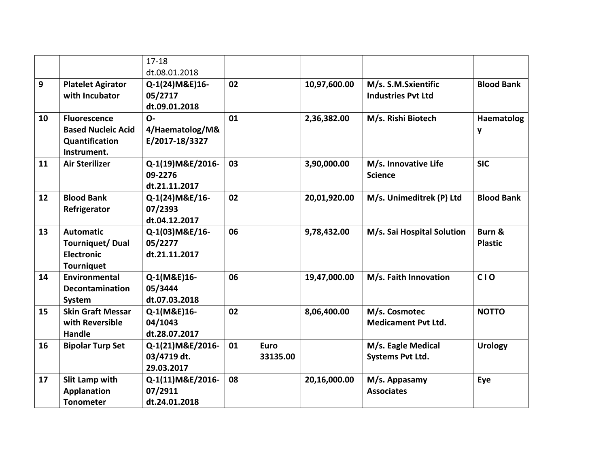|    |                           | $17 - 18$        |    |             |              |                            |                   |
|----|---------------------------|------------------|----|-------------|--------------|----------------------------|-------------------|
|    |                           | dt.08.01.2018    |    |             |              |                            |                   |
| 9  | <b>Platelet Agirator</b>  | Q-1(24) M&E) 16- | 02 |             | 10,97,600.00 | M/s. S.M.Sxientific        | <b>Blood Bank</b> |
|    | with Incubator            | 05/2717          |    |             |              | <b>Industries Pvt Ltd</b>  |                   |
|    |                           | dt.09.01.2018    |    |             |              |                            |                   |
| 10 | <b>Fluorescence</b>       | $O -$            | 01 |             | 2,36,382.00  | M/s. Rishi Biotech         | <b>Haematolog</b> |
|    | <b>Based Nucleic Acid</b> | 4/Haematolog/M&  |    |             |              |                            | y                 |
|    | Quantification            | E/2017-18/3327   |    |             |              |                            |                   |
|    | Instrument.               |                  |    |             |              |                            |                   |
| 11 | <b>Air Sterilizer</b>     | Q-1(19)M&E/2016- | 03 |             | 3,90,000.00  | M/s. Innovative Life       | <b>SIC</b>        |
|    |                           | 09-2276          |    |             |              | <b>Science</b>             |                   |
|    |                           | dt.21.11.2017    |    |             |              |                            |                   |
| 12 | <b>Blood Bank</b>         | Q-1(24) M&E/16-  | 02 |             | 20,01,920.00 | M/s. Unimeditrek (P) Ltd   | <b>Blood Bank</b> |
|    | Refrigerator              | 07/2393          |    |             |              |                            |                   |
|    |                           | dt.04.12.2017    |    |             |              |                            |                   |
| 13 | <b>Automatic</b>          | Q-1(03) M&E/16-  | 06 |             | 9,78,432.00  | M/s. Sai Hospital Solution | Burn &            |
|    | <b>Tourniquet/Dual</b>    | 05/2277          |    |             |              |                            | <b>Plastic</b>    |
|    | <b>Electronic</b>         | dt.21.11.2017    |    |             |              |                            |                   |
|    | <b>Tourniquet</b>         |                  |    |             |              |                            |                   |
| 14 | <b>Environmental</b>      | Q-1(M&E)16-      | 06 |             | 19,47,000.00 | M/s. Faith Innovation      | <b>CIO</b>        |
|    | Decontamination           | 05/3444          |    |             |              |                            |                   |
|    | System                    | dt.07.03.2018    |    |             |              |                            |                   |
| 15 | <b>Skin Graft Messar</b>  | Q-1(M&E)16-      | 02 |             | 8,06,400.00  | M/s. Cosmotec              | <b>NOTTO</b>      |
|    | with Reversible           | 04/1043          |    |             |              | <b>Medicament Pvt Ltd.</b> |                   |
|    | Handle                    | dt.28.07.2017    |    |             |              |                            |                   |
| 16 | <b>Bipolar Turp Set</b>   | Q-1(21)M&E/2016- | 01 | <b>Euro</b> |              | M/s. Eagle Medical         | <b>Urology</b>    |
|    |                           | 03/4719 dt.      |    | 33135.00    |              | <b>Systems Pvt Ltd.</b>    |                   |
|    |                           | 29.03.2017       |    |             |              |                            |                   |
| 17 | Slit Lamp with            | Q-1(11)M&E/2016- | 08 |             | 20,16,000.00 | M/s. Appasamy              | Eye               |
|    | <b>Applanation</b>        | 07/2911          |    |             |              | <b>Associates</b>          |                   |
|    | <b>Tonometer</b>          | dt.24.01.2018    |    |             |              |                            |                   |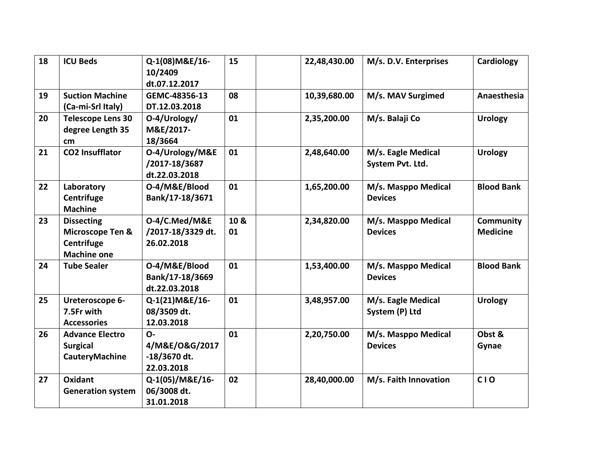| 18 | <b>ICU Beds</b>                                                           | Q-1(08) M&E/16-<br>10/2409<br>dt.07.12.2017              | 15         | 22,48,430.00 | M/s. D.V. Enterprises                  | Cardiology                          |
|----|---------------------------------------------------------------------------|----------------------------------------------------------|------------|--------------|----------------------------------------|-------------------------------------|
| 19 | <b>Suction Machine</b><br>(Ca-mi-Srl Italy)                               | GEMC-48356-13<br>DT.12.03.2018                           | 08         | 10,39,680.00 | M/s. MAV Surgimed                      | Anaesthesia                         |
| 20 | <b>Telescope Lens 30</b><br>degree Length 35<br>cm                        | O-4/Urology/<br>M&E/2017-<br>18/3664                     | 01         | 2,35,200.00  | M/s. Balaji Co                         | <b>Urology</b>                      |
| 21 | <b>CO2 Insufflator</b>                                                    | O-4/Urology/M&E<br>/2017-18/3687<br>dt.22.03.2018        | 01         | 2,48,640.00  | M/s. Eagle Medical<br>System Pvt. Ltd. | <b>Urology</b>                      |
| 22 | Laboratory<br>Centrifuge<br><b>Machine</b>                                | O-4/M&E/Blood<br>Bank/17-18/3671                         | 01         | 1,65,200.00  | M/s. Masppo Medical<br><b>Devices</b>  | <b>Blood Bank</b>                   |
| 23 | <b>Dissecting</b><br>Microscope Ten &<br>Centrifuge<br><b>Machine one</b> | O-4/C.Med/M&E<br>/2017-18/3329 dt.<br>26.02.2018         | 10 &<br>01 | 2,34,820.00  | M/s. Masppo Medical<br><b>Devices</b>  | <b>Community</b><br><b>Medicine</b> |
| 24 | <b>Tube Sealer</b>                                                        | O-4/M&E/Blood<br>Bank/17-18/3669<br>dt.22.03.2018        | 01         | 1,53,400.00  | M/s. Masppo Medical<br><b>Devices</b>  | <b>Blood Bank</b>                   |
| 25 | <b>Ureteroscope 6-</b><br>7.5Fr with<br><b>Accessories</b>                | Q-1(21)M&E/16-<br>08/3509 dt.<br>12.03.2018              | 01         | 3,48,957.00  | M/s. Eagle Medical<br>System (P) Ltd   | <b>Urology</b>                      |
| 26 | <b>Advance Electro</b><br><b>Surgical</b><br>CauteryMachine               | $\Omega$<br>4/M&E/O&G/2017<br>-18/3670 dt.<br>22.03.2018 | 01         | 2,20,750.00  | M/s. Masppo Medical<br><b>Devices</b>  | Obst &<br>Gynae                     |
| 27 | Oxidant<br><b>Generation system</b>                                       | Q-1(05)/M&E/16-<br>06/3008 dt.<br>31.01.2018             | 02         | 28,40,000.00 | M/s. Faith Innovation                  | <b>CIO</b>                          |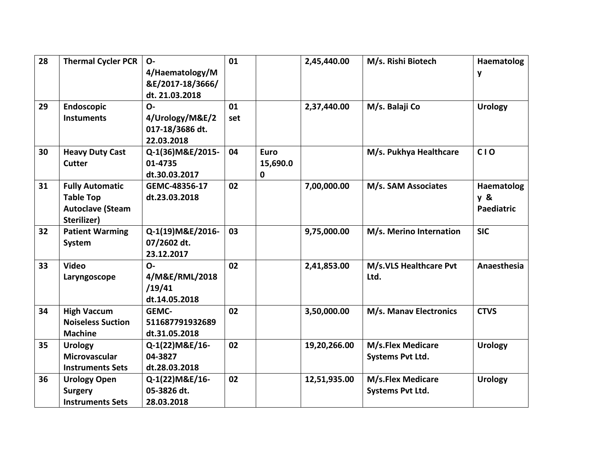| 28 | <b>Thermal Cycler PCR</b> | $O -$             | 01  |             | 2,45,440.00  | M/s. Rishi Biotech       | Haematolog        |
|----|---------------------------|-------------------|-----|-------------|--------------|--------------------------|-------------------|
|    |                           | 4/Haematology/M   |     |             |              |                          | y                 |
|    |                           | &E/2017-18/3666/  |     |             |              |                          |                   |
|    |                           | dt. 21.03.2018    |     |             |              |                          |                   |
| 29 | <b>Endoscopic</b>         | $O -$             | 01  |             | 2,37,440.00  | M/s. Balaji Co           | <b>Urology</b>    |
|    | <b>Instuments</b>         | 4/Urology/M&E/2   | set |             |              |                          |                   |
|    |                           | 017-18/3686 dt.   |     |             |              |                          |                   |
|    |                           | 22.03.2018        |     |             |              |                          |                   |
| 30 | <b>Heavy Duty Cast</b>    | Q-1(36) M&E/2015- | 04  | <b>Euro</b> |              | M/s. Pukhya Healthcare   | <b>CIO</b>        |
|    | <b>Cutter</b>             | 01-4735           |     | 15,690.0    |              |                          |                   |
|    |                           | dt.30.03.2017     |     | 0           |              |                          |                   |
| 31 | <b>Fully Automatic</b>    | GEMC-48356-17     | 02  |             | 7,00,000.00  | M/s. SAM Associates      | Haematolog        |
|    | <b>Table Top</b>          | dt.23.03.2018     |     |             |              |                          | y &               |
|    | <b>Autoclave (Steam</b>   |                   |     |             |              |                          | <b>Paediatric</b> |
|    | Sterilizer)               |                   |     |             |              |                          |                   |
| 32 | <b>Patient Warming</b>    | Q-1(19)M&E/2016-  | 03  |             | 9,75,000.00  | M/s. Merino Internation  | <b>SIC</b>        |
|    | System                    | 07/2602 dt.       |     |             |              |                          |                   |
|    |                           | 23.12.2017        |     |             |              |                          |                   |
| 33 | <b>Video</b>              | $O -$             | 02  |             | 2,41,853.00  | M/s.VLS Healthcare Pvt   | Anaesthesia       |
|    | Laryngoscope              | 4/M&E/RML/2018    |     |             |              | Ltd.                     |                   |
|    |                           | /19/41            |     |             |              |                          |                   |
|    |                           | dt.14.05.2018     |     |             |              |                          |                   |
| 34 | <b>High Vaccum</b>        | <b>GEMC-</b>      | 02  |             | 3,50,000.00  | M/s. Manav Electronics   | <b>CTVS</b>       |
|    | <b>Noiseless Suction</b>  | 511687791932689   |     |             |              |                          |                   |
|    | <b>Machine</b>            | dt.31.05.2018     |     |             |              |                          |                   |
| 35 | <b>Urology</b>            | Q-1(22) M&E/16-   | 02  |             | 19,20,266.00 | <b>M/s.Flex Medicare</b> | <b>Urology</b>    |
|    | <b>Microvascular</b>      | 04-3827           |     |             |              | <b>Systems Pvt Ltd.</b>  |                   |
|    | <b>Instruments Sets</b>   | dt.28.03.2018     |     |             |              |                          |                   |
| 36 | <b>Urology Open</b>       | Q-1(22)M&E/16-    | 02  |             | 12,51,935.00 | M/s.Flex Medicare        | <b>Urology</b>    |
|    | <b>Surgery</b>            | 05-3826 dt.       |     |             |              | <b>Systems Pvt Ltd.</b>  |                   |
|    | <b>Instruments Sets</b>   | 28.03.2018        |     |             |              |                          |                   |